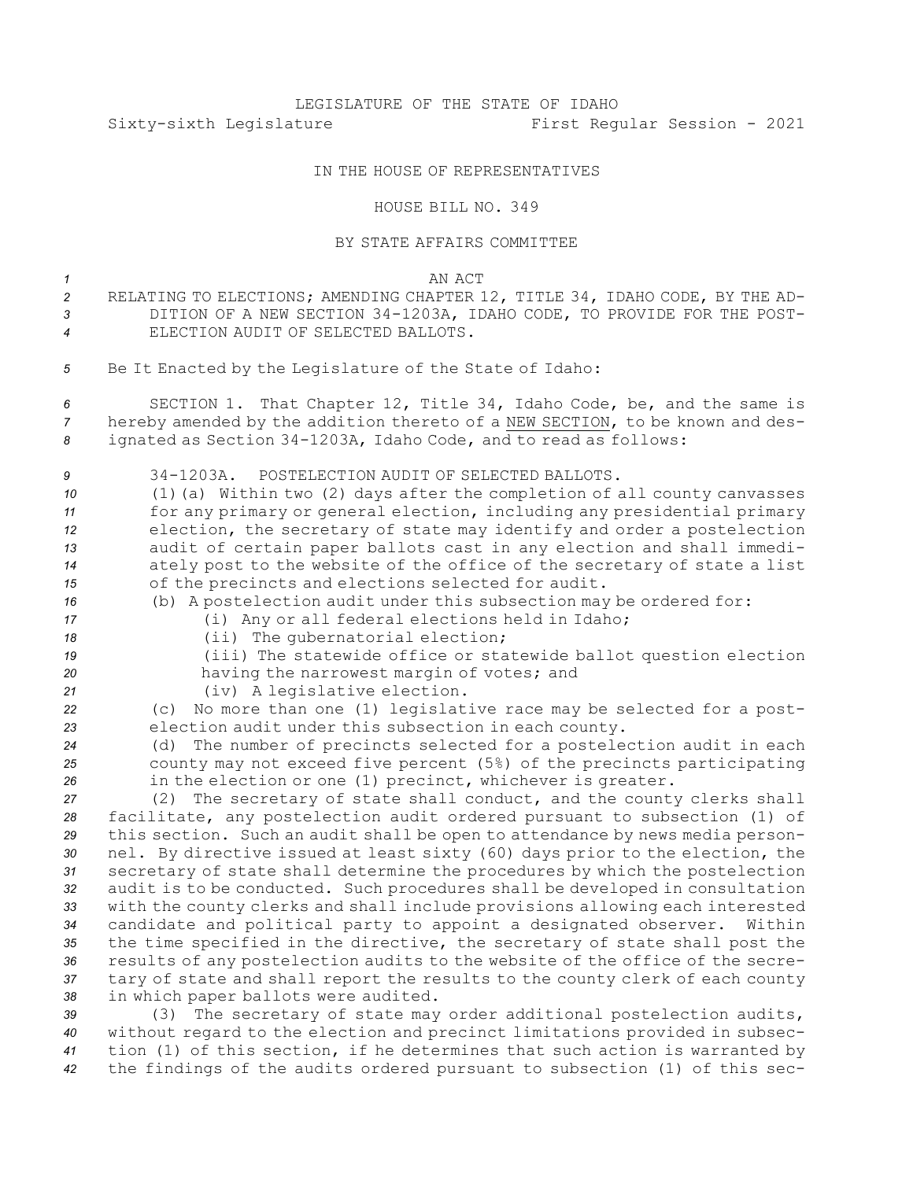## IN THE HOUSE OF REPRESENTATIVES

## HOUSE BILL NO. 349

## BY STATE AFFAIRS COMMITTEE

*1* AN ACT

- *<sup>2</sup>* RELATING TO ELECTIONS; AMENDING CHAPTER 12, TITLE 34, IDAHO CODE, BY THE AD-*<sup>3</sup>* DITION OF A NEW SECTION 34-1203A, IDAHO CODE, TO PROVIDE FOR THE POST-*4* ELECTION AUDIT OF SELECTED BALLOTS.
- *<sup>5</sup>* Be It Enacted by the Legislature of the State of Idaho:

*<sup>6</sup>* SECTION 1. That Chapter 12, Title 34, Idaho Code, be, and the same is *<sup>7</sup>* hereby amended by the addition thereto of <sup>a</sup> NEW SECTION, to be known and des-*<sup>8</sup>* ignated as Section 34-1203A, Idaho Code, and to read as follows:

 34-1203A. POSTELECTION AUDIT OF SELECTED BALLOTS. (1)(a) Within two (2) days after the completion of all county canvasses for any primary or general election, including any presidential primary election, the secretary of state may identify and order <sup>a</sup> postelection audit of certain paper ballots cast in any election and shall immedi-ately post to the website of the office of the secretary of state <sup>a</sup> list

- *<sup>15</sup>* of the precincts and elections selected for audit.
- *<sup>16</sup>* (b) <sup>A</sup> postelection audit under this subsection may be ordered for:
- *<sup>17</sup>* (i) Any or all federal elections held in Idaho;
- 
- 18 (ii) The qubernatorial election;
- *<sup>19</sup>* (iii) The statewide office or statewide ballot question election *<sup>20</sup>* having the narrowest margin of votes; and
- *<sup>21</sup>* (iv) <sup>A</sup> legislative election.

*<sup>22</sup>* (c) No more than one (1) legislative race may be selected for <sup>a</sup> post-*<sup>23</sup>* election audit under this subsection in each county.

*<sup>24</sup>* (d) The number of precincts selected for <sup>a</sup> postelection audit in each *<sup>25</sup>* county may not exceed five percent (5%) of the precincts participating *<sup>26</sup>* in the election or one (1) precinct, whichever is greater.

 (2) The secretary of state shall conduct, and the county clerks shall facilitate, any postelection audit ordered pursuant to subsection (1) of this section. Such an audit shall be open to attendance by news media person- nel. By directive issued at least sixty (60) days prior to the election, the secretary of state shall determine the procedures by which the postelection audit is to be conducted. Such procedures shall be developed in consultation with the county clerks and shall include provisions allowing each interested candidate and political party to appoint <sup>a</sup> designated observer. Within the time specified in the directive, the secretary of state shall post the results of any postelection audits to the website of the office of the secre- tary of state and shall report the results to the county clerk of each county in which paper ballots were audited.

 (3) The secretary of state may order additional postelection audits, without regard to the election and precinct limitations provided in subsec- tion (1) of this section, if he determines that such action is warranted by the findings of the audits ordered pursuant to subsection (1) of this sec-